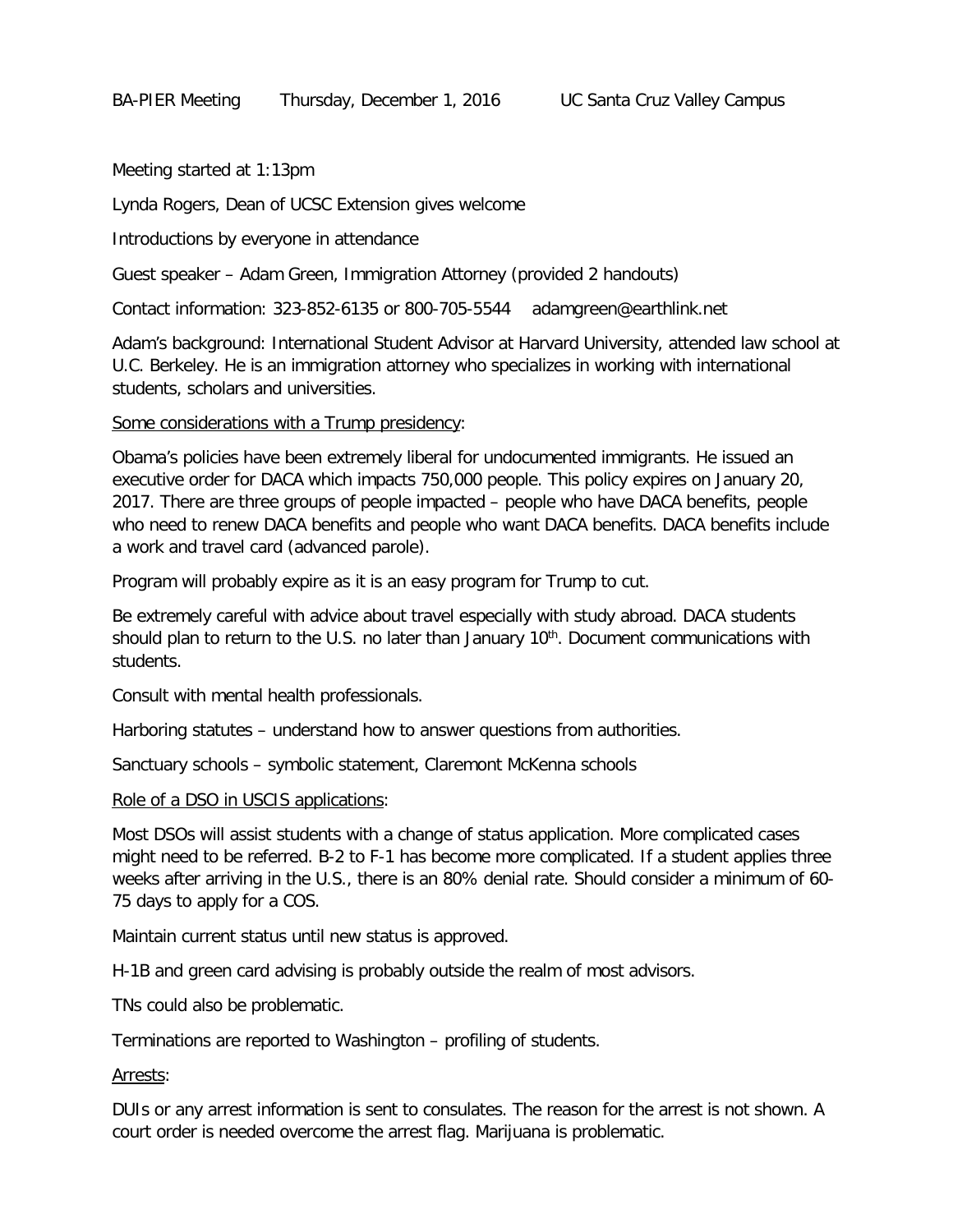Meeting started at 1:13pm

Lynda Rogers, Dean of UCSC Extension gives welcome

Introductions by everyone in attendance

Guest speaker – Adam Green, Immigration Attorney (provided 2 handouts)

Contact information: 323-852-6135 or 800-705-5544 adamgreen@earthlink.net

Adam's background: International Student Advisor at Harvard University, attended law school at U.C. Berkeley. He is an immigration attorney who specializes in working with international students, scholars and universities.

## Some considerations with a Trump presidency:

Obama's policies have been extremely liberal for undocumented immigrants. He issued an executive order for DACA which impacts 750,000 people. This policy expires on January 20, 2017. There are three groups of people impacted – people who have DACA benefits, people who need to renew DACA benefits and people who want DACA benefits. DACA benefits include a work and travel card (advanced parole).

Program will probably expire as it is an easy program for Trump to cut.

Be extremely careful with advice about travel especially with study abroad. DACA students should plan to return to the U.S. no later than January 10<sup>th</sup>. Document communications with students.

Consult with mental health professionals.

Harboring statutes – understand how to answer questions from authorities.

Sanctuary schools – symbolic statement, Claremont McKenna schools

Role of a DSO in USCIS applications:

Most DSOs will assist students with a change of status application. More complicated cases might need to be referred. B-2 to F-1 has become more complicated. If a student applies three weeks after arriving in the U.S., there is an 80% denial rate. Should consider a minimum of 60- 75 days to apply for a COS.

Maintain current status until new status is approved.

H-1B and green card advising is probably outside the realm of most advisors.

TNs could also be problematic.

Terminations are reported to Washington – profiling of students.

## Arrests:

DUIs or any arrest information is sent to consulates. The reason for the arrest is not shown. A court order is needed overcome the arrest flag. Marijuana is problematic.